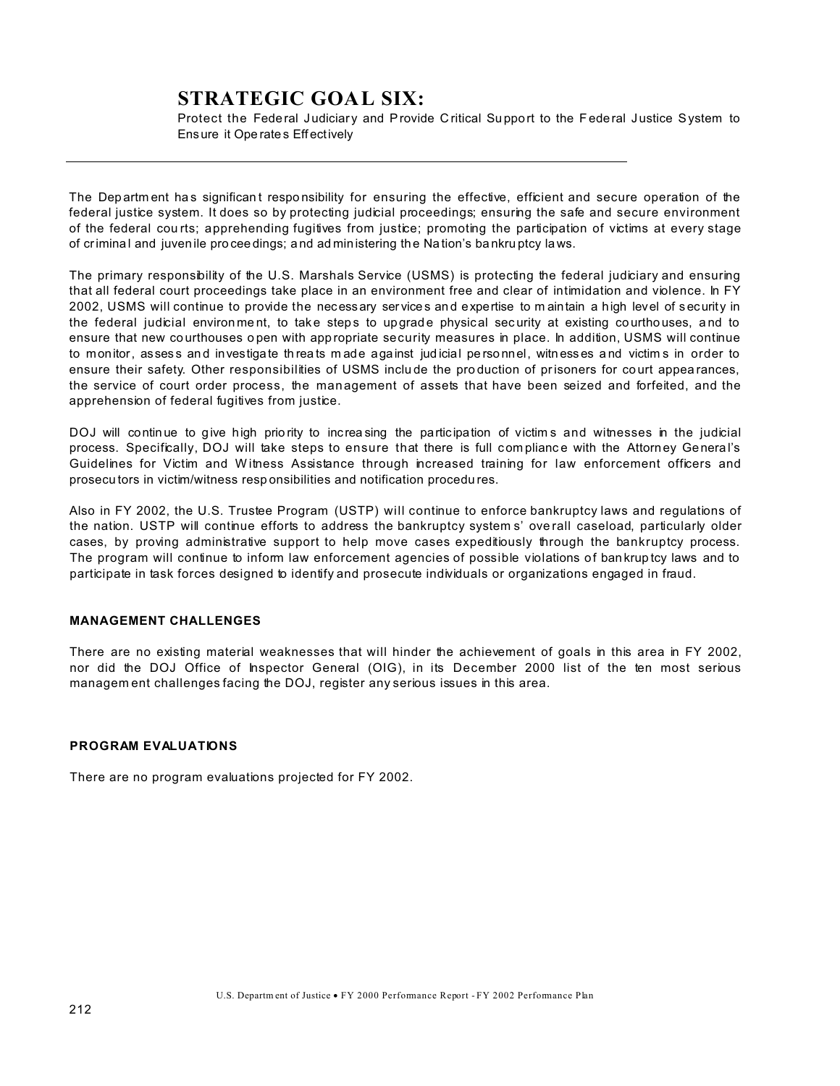# **STRATEGIC GOAL SIX:**

Protect the Federal Judiciary and Provide Critical Support to the Federal Justice System to Ensure it Ope rate s Eff ectively

The Departm ent has significant responsibility for ensuring the effective, efficient and secure operation of the federal justice system. It does so by protecting judicial proceedings; ensuring the safe and secure environment of the federal cou rts; apprehending fugitives from justice; promoting the participation of victims at every stage of crimina l and juvenile pro ceedings; a nd ad ministering the Na tion's ba nkru ptcy laws.

The primary responsibility of the U.S. Marshals Service (USMS) is protecting the federal judiciary and ensuring that all federal court proceedings take place in an environment free and clear of intimidation and violence. In FY 2002, USMS will continue to provide the necessary ser vices an d expertise to m aintain a high level of security in the federal judicial environment, to take steps to upgrade physical security at existing courthouses, and to ensure that new courthouses open with appropriate security measures in place. In addition, USMS will continue to monitor, assess and investigate threats made against judicial personnel, witnesses and victims in order to ensure their safety. Other responsibilities of USMS inclu de the pro duction of prisoners for co urt appea rances, the service of court order process, the management of assets that have been seized and forfeited, and the apprehension of federal fugitives from justice.

DOJ will continue to give high priority to increasing the participation of victims and witnesses in the judicial process. Specifically, DOJ will take steps to ensure that there is full compliance with the Attorney General's Guidelines for Victim and Witness Assistance through increased training for law enforcement officers and prosecu tors in victim/witness resp onsibilities and notification procedu res.

Also in FY 2002, the U.S. Trustee Program (USTP) will continue to enforce bankruptcy laws and regulations of the nation. USTP will continue efforts to address the bankruptcy system s' ove rall caseload, particularly older cases, by proving administrative support to help move cases expeditiously through the bankruptcy process. The program will continue to inform law enforcement agencies of possible violations of bankruptcy laws and to participate in task forces designed to identify and prosecute individuals or organizations engaged in fraud.

# **MANAGEMENT CHALLENGES**

There are no existing material weaknesses that will hinder the achievement of goals in this area in FY 2002, nor did the DOJ Office of Inspector General (OIG), in its December 2000 list of the ten most serious managem ent challenges facing the DOJ, register any serious issues in this area.

# **PROGRAM EVALUATIONS**

There are no program evaluations projected for FY 2002.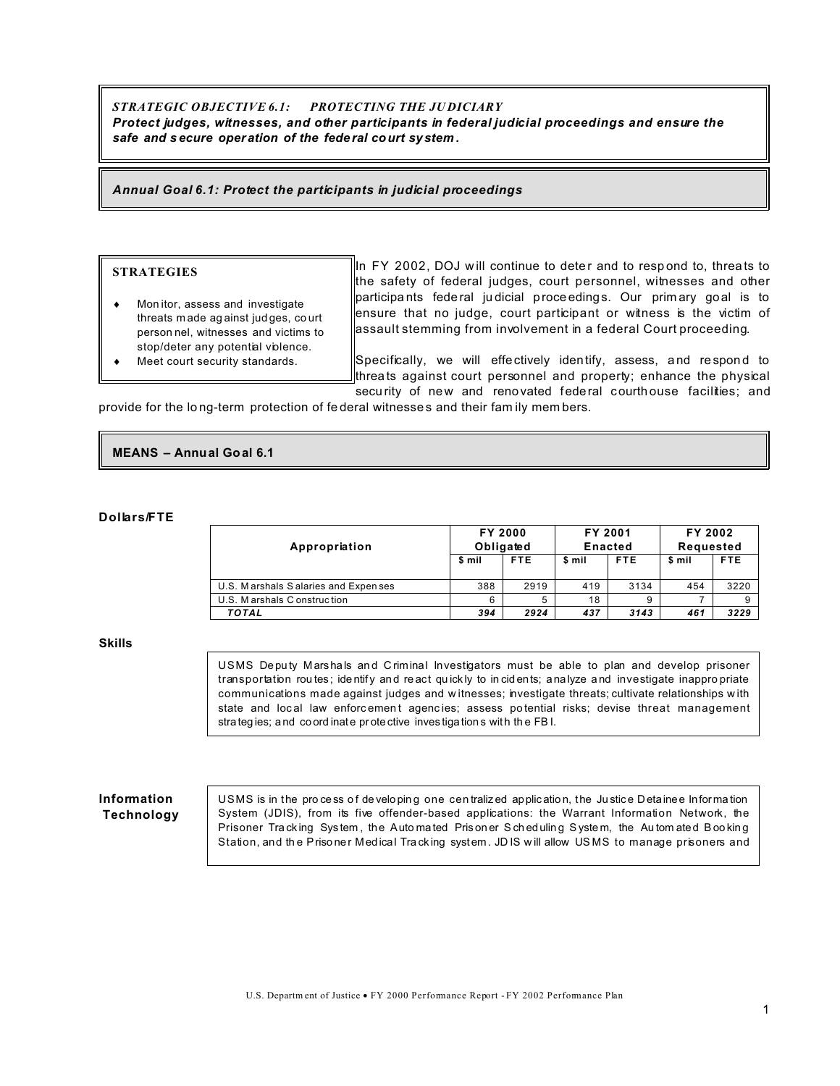# STRATEGIC OBJECTIVE 6.1: PROTECTING THE JUDICIARY Protect judges, witnesses, and other participants in federal judicial proceedings and ensure the safe and secure operation of the federal court system.

Annual Goal 6.1: Protect the participants in judicial proceedings

#### **STRATEGIES**

Monitor, assess and investigate threats made against judges, court person nel, witnesses and victims to stop/deter any potential violence. Meet court security standards.

In FY 2002, DOJ will continue to deter and to respond to, threats to the safety of federal judges, court personnel, witnesses and other participants federal judicial proceedings. Our primary goal is to ensure that no judge, court participant or witness is the victim of assault stemming from involvement in a federal Court proceeding.

Specifically, we will effectively identify, assess, and respond to threats against court personnel and property; enhance the physical security of new and renovated federal courthouse facilities; and

provide for the long-term protection of federal witnesses and their family members.

# **MEANS - Annual Goal 6.1**

#### **Dollars/FTE**

| Appropriation                       | <b>FY 2000</b><br>Obligated |            | FY 2001<br>Enacted |            | FY 2002<br>Requested |      |
|-------------------------------------|-----------------------------|------------|--------------------|------------|----------------------|------|
|                                     | \$ mil                      | <b>FTE</b> | \$ mil             | <b>FTE</b> | \$ mil               | FTE. |
| U.S. Marshals Salaries and Expenses | 388                         | 2919       | 419                | 3134       | 454                  | 3220 |
| U.S. Marshals Construction          | 6                           | 5          | 18                 | 9          |                      |      |
| <b>TOTAL</b>                        | 394                         | 2924       | 437                | 3143       | 461                  | 3229 |

#### **Skills**

USMS Deputy Marshals and Criminal Investigators must be able to plan and develop prisoner transportation routes; identify and react quickly to incidents; analyze and investigate inappropriate communications made against judges and witnesses; investigate threats; cultivate relationships with state and local law enforcement agencies; assess potential risks; devise threat management strategies; and coordinate protective investigations with the FBI.

### Information **Technology**

USMS is in the process of developing one centralized application, the Justice Detainee Information System (JDIS), from its five offender-based applications: the Warrant Information Network, the Prisoner Tracking System, the Automated Prisoner Scheduling System, the Automated Booking Station, and the Prisoner Medical Tracking system. JDIS will allow USMS to manage prisoners and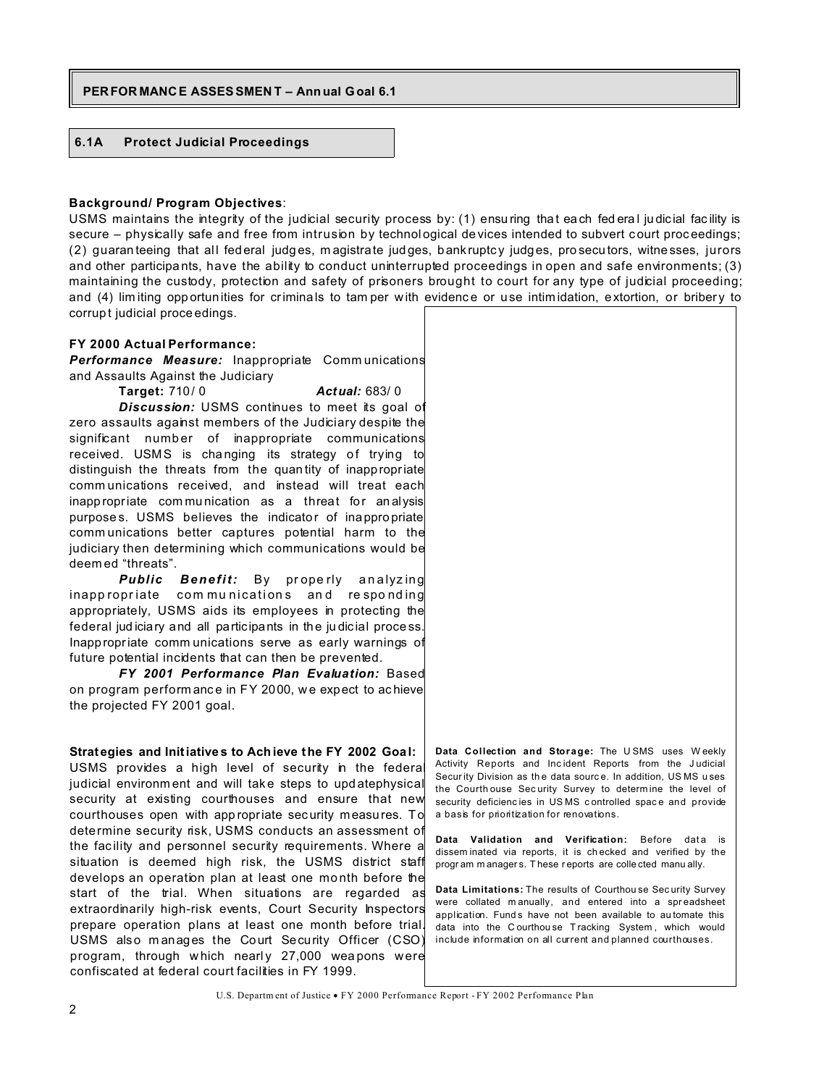# PERFORMANCE ASSES SMENT - Annual Goal 6.1

#### $6.1A$ **Protect Judicial Proceedings**

#### **Background/ Program Objectives:**

USMS maintains the integrity of the judicial security process by: (1) ensuring that each federal judicial facility is secure - physically safe and free from intrusion by technological devices intended to subvert court proceedings; (2) guaranteeing that all federal judges, magistrate judges, bankruptcy judges, prosecutors, witnesses, jurors and other participants, have the ability to conduct uninterrupted proceedings in open and safe environments; (3) maintaining the custody, protection and safety of prisoners brought to court for any type of judicial proceeding; and (4) limiting opportunities for criminals to tamper with evidence or use intimidation, extortion, or bribery to corrupt judicial proce edings.

#### FY 2000 Actual Performance:

**Performance Measure:** Inappropriate Communications and Assaults Against the Judiciary

Actual: 683/0 **Target: 710/0** Discussion: USMS continues to meet its goal of zero assaults against members of the Judiciary despite the significant number of inappropriate communications received. USMS is changing its strategy of trying to distinguish the threats from the quantity of inappropriate communications received, and instead will treat each inappropriate communication as a threat for analysis purposes. USMS believes the indicator of inappropriate communications better captures potential harm to the judiciary then determining which communications would be deemed "threats".

Public Benefit: By properly analyzing inappropriate communications and responding appropriately, USMS aids its employees in protecting the federal judiciary and all participants in the judicial process. Inappropriate communications serve as early warnings of future potential incidents that can then be prevented.

FY 2001 Performance Plan Evaluation: Based on program performance in FY 2000, we expect to achieve the projected FY 2001 goal.

Strategies and Initiatives to Achieve the FY 2002 Goal: USMS provides a high level of security in the federal judicial environment and will take steps to updatephysical security at existing courthouses and ensure that new courthouses open with appropriate security measures. To determine security risk, USMS conducts an assessment of the facility and personnel security requirements. Where a situation is deemed high risk, the USMS district staff develops an operation plan at least one month before the start of the trial. When situations are regarded as extraordinarily high-risk events, Court Security Inspectors prepare operation plans at least one month before trial. USMS also manages the Court Security Officer (CSO) program, through which nearly 27,000 weapons were confiscated at federal court facilities in FY 1999.

Data Collection and Storage: The USMS uses Weekly Activity Reports and Incident Reports from the Judicial Security Division as the data source. In addition, USMS uses the Courthouse Security Survey to determine the level of security deficiencies in USMS controlled space and provide a basis for prioritization for renovations.

Data Validation and Verification: Before data is disseminated via reports, it is checked and verified by the program managers. These reports are collected manually.

Data Limitations: The results of Courthouse Security Survey were collated manually, and entered into a spreadsheet application. Funds have not been available to automate this data into the Courthouse Tracking System, which would include information on all current and planned courthouses.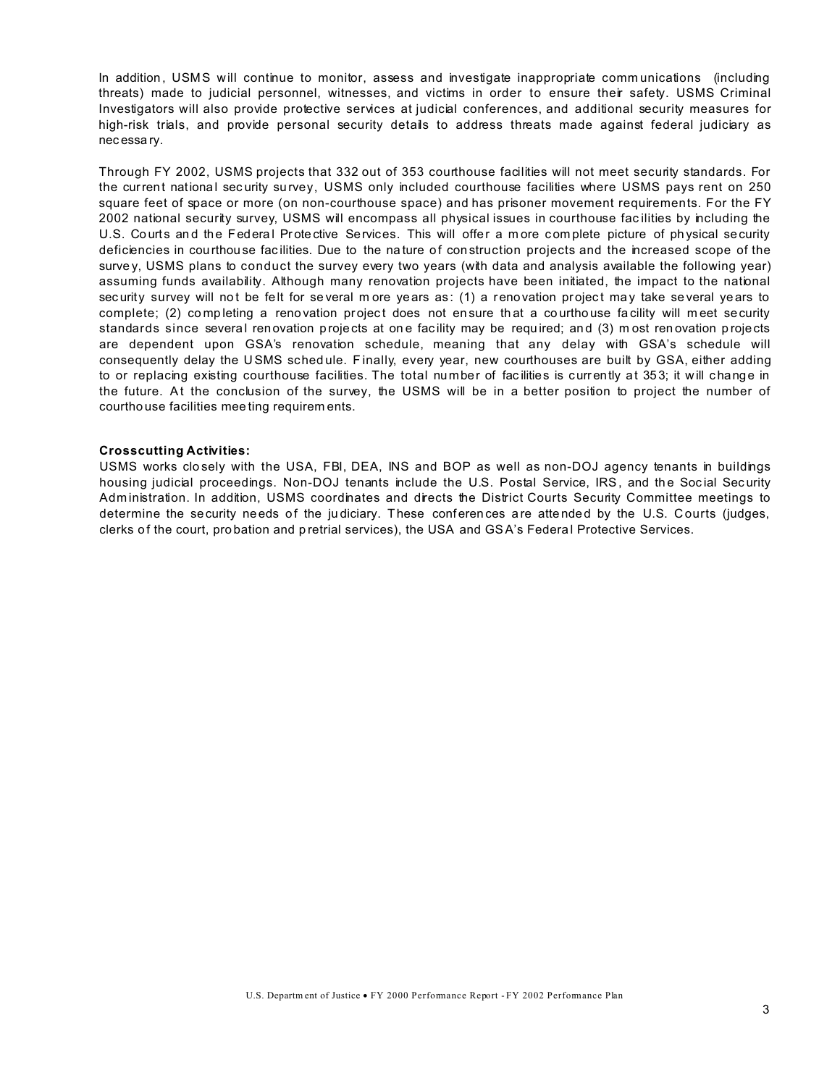In addition, USMS will continue to monitor, assess and investigate inappropriate communications (including threats) made to judicial personnel, witnesses, and victims in order to ensure their safety. USMS Criminal Investigators will also provide protective services at judicial conferences, and additional security measures for high-risk trials, and provide personal security details to address threats made against federal judiciary as nec essa ry.

Through FY 2002, USMS projects that 332 out of 353 courthouse facilities will not meet security standards. For the current national security survey, USMS only included courthouse facilities where USMS pays rent on 250 square feet of space or more (on non-courthouse space) and has prisoner movement requirements. For the FY 2002 national security survey, USMS will encompass all physical issues in courthouse fac ilities by including the U.S. Courts and the Federal Protective Services. This will offer a more complete picture of physical security deficiencies in courthouse facilities. Due to the nature of construction projects and the increased scope of the surve y, USMS plans to conduct the survey every two years (with data and analysis available the following year) assuming funds availability. Although many renovation projects have been initiated, the impact to the national sec urity survey will not be felt for several m ore years as: (1) a renovation project may take several years to complete; (2) completing a renovation project does not en sure that a courthouse facility will meet security standards since several renovation p rojects at one facility may be required; and (3) m ost renovation p rojects are dependent upon GSA's renovation schedule, meaning that any delay with GSA's schedule will consequently delay the U SMS sched ule. F inally, every year, new courthouses are built by GSA, either adding to or replacing existing courthouse facilities. The total number of facilities is currently at 353; it will change in the future. At the conclusion of the survey, the USMS will be in a better position to project the number of courtho use facilities mee ting requirem ents.

#### **Crosscutting Activities:**

USMS works clo sely with the USA, FBI, DEA, INS and BOP as well as non-DOJ agency tenants in buildings housing judicial proceedings. Non-DOJ tenants include the U.S. Postal Service, IRS, and the Social Security Adm inistration. In addition, USMS coordinates and directs the District Courts Security Committee meetings to determine the security needs of the judiciary. These conferences are attended by the U.S. Courts (judges, clerks of the court, probation and p retrial services), the USA and GSA's Federal Protective Services.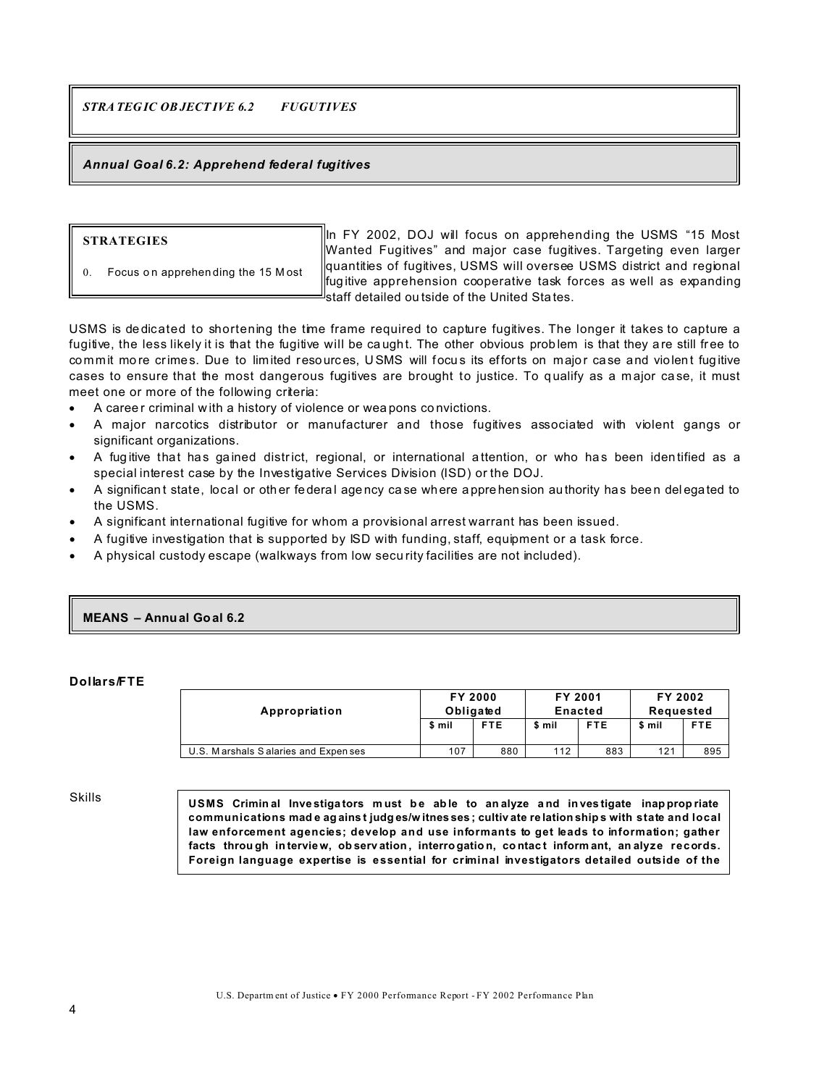*STRATEG IC OBJECT IVE 6.2 FUGUTIVES*

# *Annual Goal 6.2: Apprehend federal fugitives*

#### **STRATEGIES**

Focus on apprehen ding the 15 M ost

In FY 2002, DOJ will focus on apprehending the USMS "15 Most Wanted Fugitives" and major case fugitives. Targeting even larger quantities of fugitives, USMS will oversee USMS district and regional fug itive apprehension cooperative task forces as well as expanding staff detailed ou tside of the United Sta tes.

USMS is de dicated to shortening the time frame required to capture fugitives. The longer it takes to capture a fugitive, the less likely it is that the fugitive will be caught. The other obvious problem is that they are still free to commit more crimes. Due to limited resources, USMS will focus its efforts on major case and violent fugitive cases to ensure that the most dangerous fugitives are brought to justice. To qualify as a major case, it must meet one or more of the following criteria:

A career criminal with a history of violence or weapons convictions.

A major narcotics distributor or manufacturer and those fugitives associated with violent gangs or significant organizations.

A fugitive that has gained district, regional, or international attention, or who has been identified as a special interest case by the Investigative Services Division (ISD) or the DOJ.

A significant state, local or other federal agency case where apprehension authority has been delegated to the USMS.

A significant international fugitive for whom a provisional arrest warrant has been issued.

A fugitive investigation that is supported by ISD with funding, staff, equipment or a task force.

A physical custody escape (walkways from low secu rity facilities are not included).

#### **MEANS – Annual Goal 6.2**

#### **Dollars/FTE**

| Appropriation                        | FY 2000<br>Obligated |            | FY 2001<br>Enacted |            | FY 2002<br>Requested |            |
|--------------------------------------|----------------------|------------|--------------------|------------|----------------------|------------|
|                                      | \$ mil               | <b>FTE</b> | \$ mil             | <b>FTE</b> | \$ mil               | <b>FTE</b> |
| U.S. Marshals Salaries and Expen ses | 107                  | 880        | 112                | 883        | 121                  | 895        |

Skills

**USMS Crimin al Inve stiga tors m ust b e ab le to an alyze a nd in ves tigate inap prop riate communications mad e ag ains t judg es/w itnes ses ; cultiv ate re lation ship s with state and local law enforcement agencies; develop and use informants to get leads to information; gather facts throu gh in tervie w, ob serv ation , interro gatio n, co ntac t inform ant, an alyze records. Foreign language expertise is essential for criminal investigators detailed outside of the**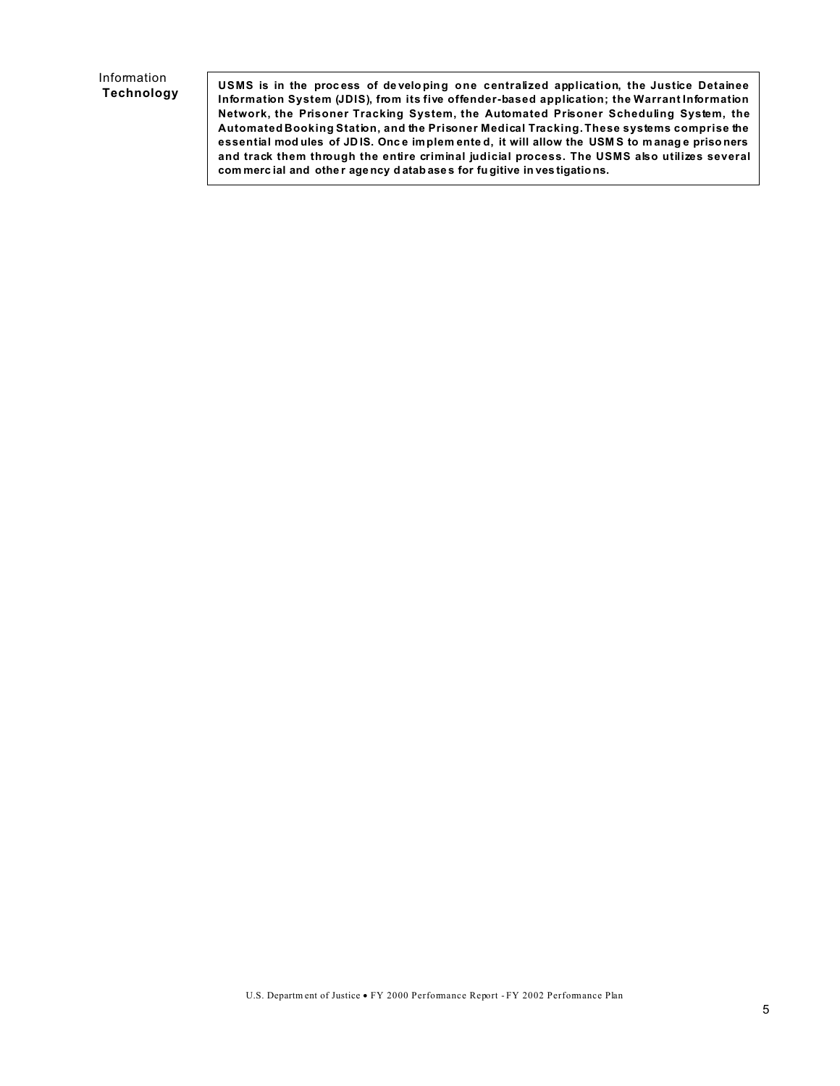# Information Technology

USMS is in the process of developing one centralized application, the Justice Detainee Information System (JDIS), from its five offender-based application; the Warrant Information Network, the Prisoner Tracking System, the Automated Prisoner Scheduling System, the Automated Booking Station, and the Prisoner Medical Tracking. These systems comprise the essential modules of JDIS. Once implemented, it will allow the USMS to manage prisoners and track them through the entire criminal judicial process. The USMS also utilizes several commercial and other agency databases for fugitive in vestigations.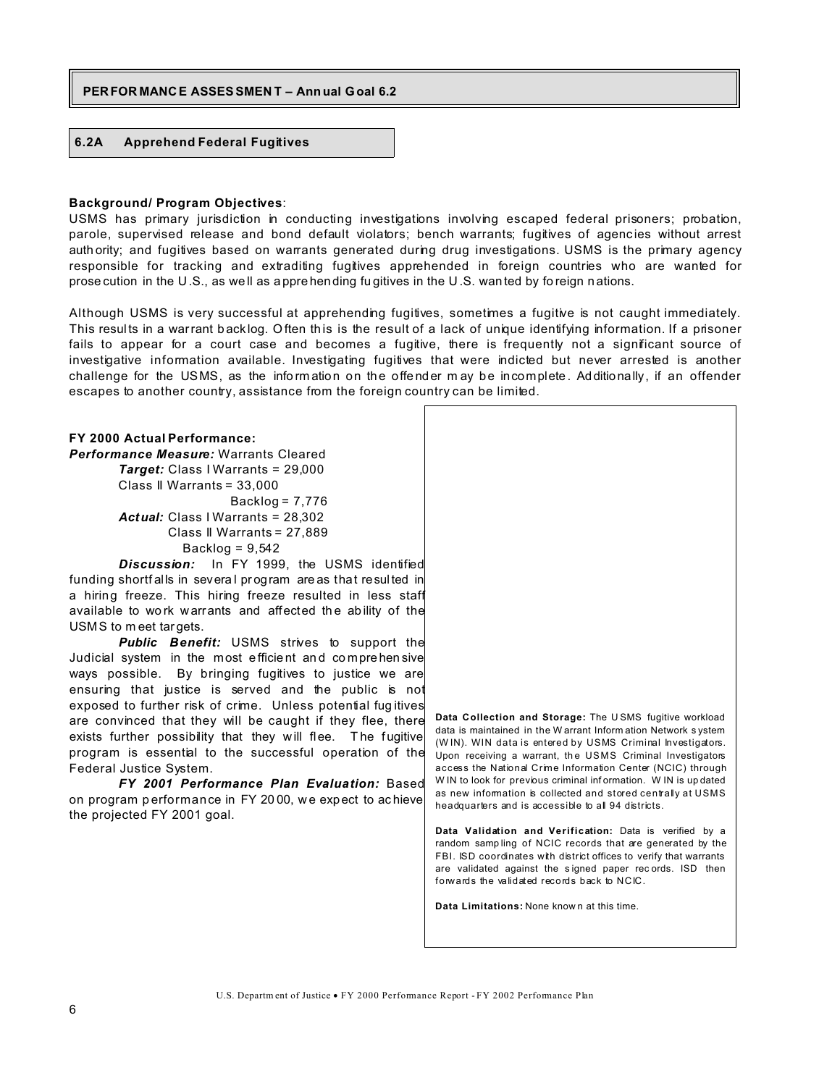#### **PERFOR MANCE ASSESSMEN T – Ann ual Goal 6.2**

# **6.2A Apprehend Federal Fugitives**

#### **Background/ Program Objectives**:

USMS has primary jurisdiction in conducting investigations involving escaped federal prisoners; probation, parole, supervised release and bond default violators; bench warrants; fugitives of agencies without arrest auth ority; and fugitives based on warrants generated during drug investigations. USMS is the primary agency responsible for tracking and extraditing fugitives apprehended in foreign countries who are wanted for prose cution in the U.S., as we ll as a ppre hending fu gitives in the U .S. wan ted by fo reign n ations.

Although USMS is very successful at apprehending fugitives, sometimes a fugitive is not caught immediately. This results in a warrant backlog. Often this is the result of a lack of unique identifying information. If a prisoner fails to appear for a court case and becomes a fugitive, there is frequently not a significant source of investigative information available. Investigating fugitives that were indicted but never arrested is another challenge for the USMS, as the information on the offender may be incomplete. Additionally, if an offender escapes to another country, assistance from the foreign country can be limited.

# **FY 2000 Actual Performance:**

*Performance Measure:* Warrants Cleared *Target:* Class I Warrants = 29,000 Class II Warrants = 33,000 Backlog = 7,776 *Actual:* Class I Warrants = 28,302 Class II Warrants = 27,889 Backlog =  $9,542$ 

*Discussion:* In FY 1999, the USMS identified funding shortf alls in several program are as that resulted in a hiring freeze. This hiring freeze resulted in less staff available to work warrants and affected the ability of the USMS to m eet targets.

**Public Benefit:** USMS strives to support the Judicial system in the most efficient and comprehensive ways possible. By bringing fugitives to justice we are ensuring that justice is served and the public is not exposed to further risk of crime. Unless potential fug itives are convinced that they will be caught if they flee, there exists further possibility that they will flee. The fugitive program is essential to the successful operation of the Federal Justice System.

*FY 2001 Performance Plan Evaluation:* Based on program p erformance in FY 20 00, w e expect to ac hieve the projected FY 2001 goal.

**Data Collection and Storage:** The U SMS fugitive workload data is maintained in the W arrant Inform ation Network s ystem (WIN). WIN data is entered by USMS Criminal Investigators. Upon receiving a warrant, the USMS Criminal Investigators access the National Crime Information Center (NCIC) through W IN to look for previous criminal information. W IN is up dated as new information is collected and stored centrally at USMS headquarters and is accessible to all 94 districts. **Data Validation and Verification:** Data is verified by a random samp ling of NCIC records that are generated by the

FBI. ISD coordinates with district offices to verify that warrants are validated against the s igned paper rec ords. ISD then

forwards the validated records back to NCIC. **Data Limitations:** None know n at this time.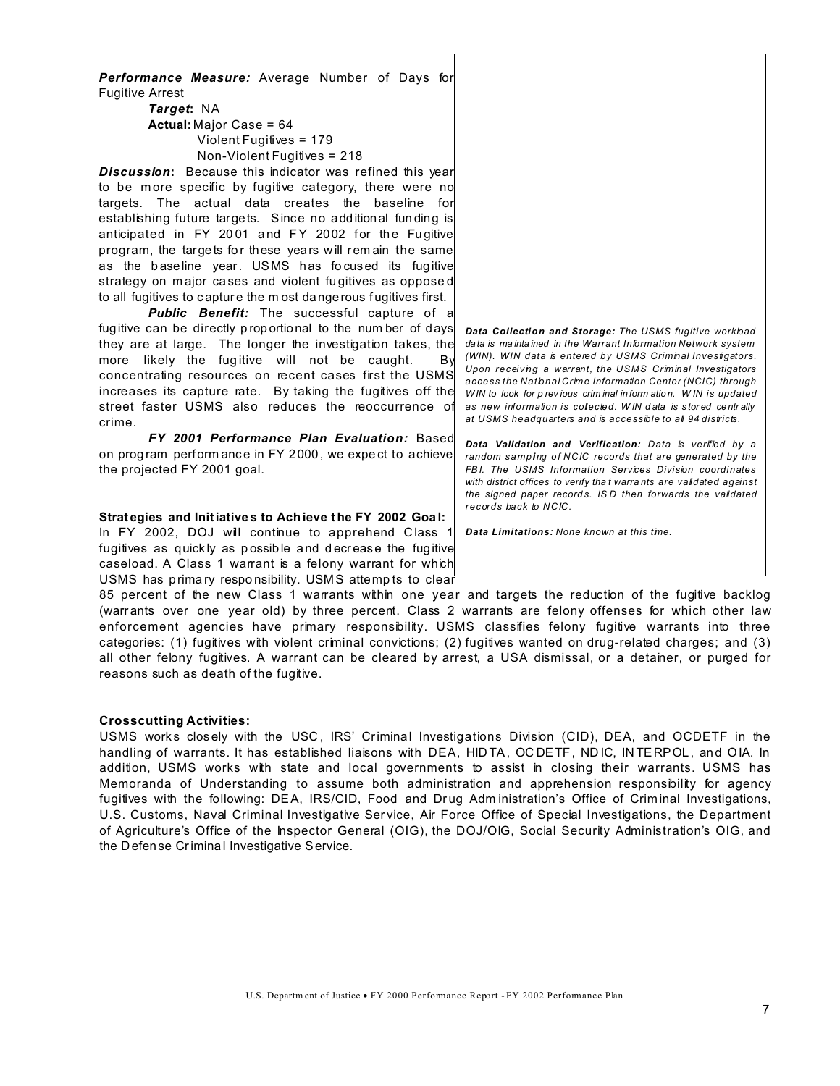*Performance Measure:* Average Number of Days for Fugitive Arrest

*Target***:** NA **Actual:** Major Case = 64 Violent Fugitives = 179 Non-Violent Fugitives = 218

*Discussion***:** Because this indicator was refined this year to be more specific by fugitive category, there were no targets. The actual data creates the baseline for establishing future targets. Since no addition al fun ding is anticipated in FY 2001 and FY 2002 for the Fugitive program, the targets for these years will remain the same as the baseline year. USMS has focused its fugitive strategy on m ajor ca ses and violent fu gitives as oppose d to all fugitives to capture the m ost dangerous fugitives first.

*Public Benefit:* The successful capture of a fugitive can be directly proportional to the number of days they are at large. The longer the investigation takes, the more likely the fugitive will not be caught. By concentrating resources on recent cases first the USMS increases its capture rate. By taking the fugitives off the street faster USMS also reduces the reoccurrence of crime.

*FY 2001 Performance Plan Evaluation:* Based on prog ram perform ance in FY 2000, we expe ct to achieve the projected FY 2001 goal.

#### **Strat egies and Initiative s to Ach ieve the FY 2002 Goa l:**

In FY 2002, DOJ will continue to apprehend Class 1 fugitives as quick ly as p ossib le a nd d ecr ease the fugitive caseload. A Class 1 warrant is a felony warrant for which USMS has prima ry respo nsibility. USMS attemp ts to clear

85 percent of the new Class 1 warrants within one year and targets the reduction of the fugitive backlog (warr ants over one year old) by three percent. Class 2 warrants are felony offenses for which other law enforcement agencies have primary responsibility. USMS classifies felony fugitive warrants into three categories: (1) fugitives with violent criminal convictions; (2) fugitives wanted on drug-related charges; and (3) all other felony fugitives. A warrant can be cleared by arrest, a USA dismissal, or a detainer, or purged for reasons such as death of the fugitive.

#### **Crosscutting Activities:**

USMS works closely with the USC, IRS' Criminal Investigations Division (CID), DEA, and OCDETF in the handling of warrants. It has established liaisons with DEA, HIDTA, OCDETF, NDIC, INTERPOL, and OIA. In addition, USMS works with state and local governments to assist in closing their warrants. USMS has Memoranda of Understanding to assume both administration and apprehension responsibility for agency fugitives with the following: DEA, IRS/CID, Food and Drug Adm inistration's Office of Criminal Investigations, U.S. Customs, Naval Criminal Investigative Ser vice, Air Force Office of Special Investigations, the Department of Agriculture's Office of the Inspector General (OIG), the DOJ/OIG, Social Security Administration's OIG, and the Defen se Crimina l Investigative Service.

*Data Collection and Storage: The USMS fugitive workload data is ma inta ined in the Warrant Information Network system (WIN). WIN data is entered by USMS Criminal Investigators. Upon receiving a warrant, the USMS Criminal Investigators access the National Crime Information Center (NCIC) through W IN to look for p rev ious crim inal in form atio n. W IN is updated as new information is collected. W IN d ata is s tor ed ce ntr ally at USMS headquarters and is accessible to all 94 districts.*

*Data Validation and Verification: Data is verified by a random sampling of NCIC records that are generated by the FB I. The USMS Information Services Division coordinates with district offices to verify tha t warra nts are validated against the signed paper record s. IS D then forwards the validated records back to NCIC.*

*Data Limitations: None known at this time.*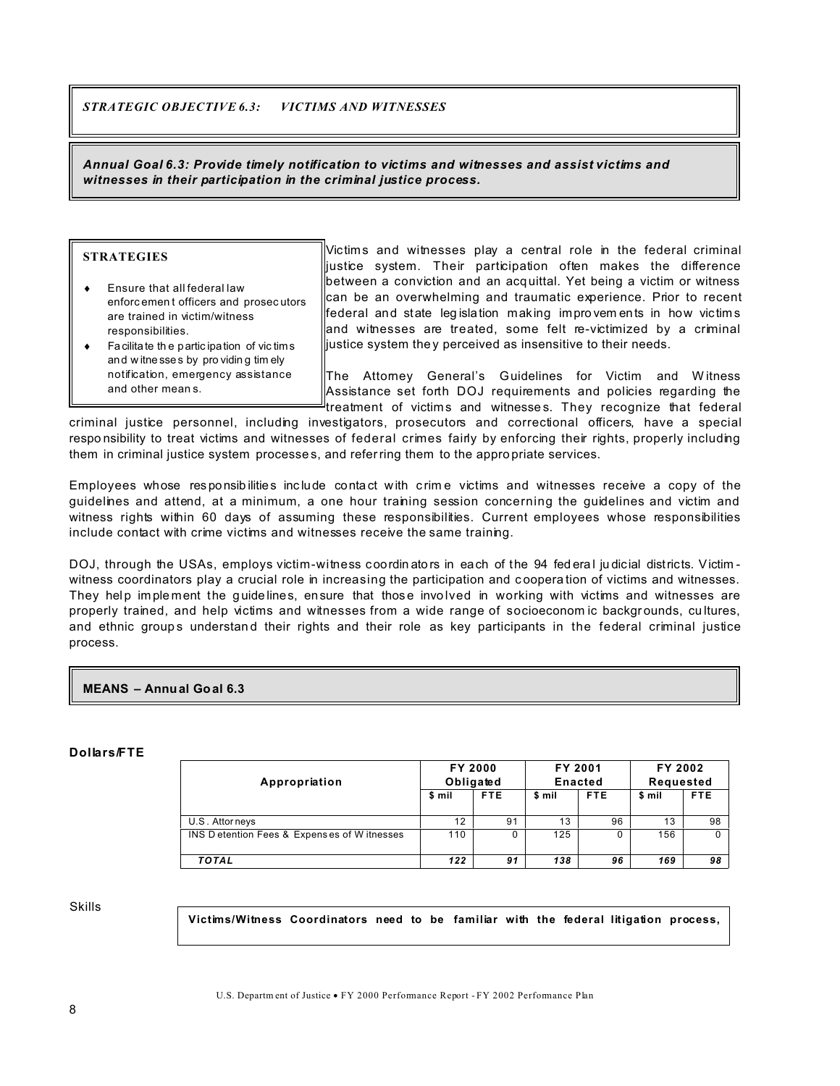*STRATEGIC OBJECTIVE 6.3: VICTIMS AND WITNESSES*

*Annual Goal 6.3: Provide timely notification to victims and witnesses and assist victims and witnesses in their participation in the criminal justice process.*

| <b>STRATEGIES</b>                       |        |
|-----------------------------------------|--------|
|                                         | iustic |
| Ensure that all federal law             | betw   |
|                                         | lcan   |
| enforcement officers and prosecutors    |        |
| are trained in victim/witness           | feder  |
| responsibilities.                       | land   |
| Facilitate the participation of victims | iustic |
| and witnesses by providing timely       |        |
| notification, emergency assistance      |        |
| and other means.                        |        |

 $\mathbb I$ Victims and witnesses play a central role in the federal criminal e system. Their participation often makes the difference een a conviction and an acquittal. Yet being a victim or witness be an overwhelming and traumatic experience. Prior to recent ral and state legisla tion making impro vem ents in how victims witnesses are treated, some felt re-victimized by a criminal the system the y perceived as insensitive to their needs.

Attomey General's Guidelines for Victim and Witness stance set forth DOJ requirements and policies regarding the **treatment** of victims and witnesses. They recognize that federal

criminal justice personnel, including investigators, prosecutors and correctional officers, have a special respo nsibility to treat victims and witnesses of federal crimes fairly by enforcing their rights, properly including them in criminal justice system processe s, and referring them to the appro priate services.

Employees whose res ponsib ilities inc lude conta ct with c rim e victims and witnesses receive a copy of the guidelines and attend, at a minimum, a one hour training session concerning the guidelines and victim and witness rights within 60 days of assuming these responsibilities. Current employees whose responsibilities include contact with crime victims and witnesses receive the same training.

DOJ, through the USAs, employs victim-witness coordinators in each of the 94 fed eral judicial districts. Victimwitness coordinators play a crucial role in increasing the participation and c oopera tion of victims and witnesses. They help implement the guide lines, ensure that those involved in working with victims and witnesses are properly trained, and help victims and witnesses from a wide range of socioeconom ic backgrounds, cultures, and ethnic groups understand their rights and their role as key participants in the federal criminal justice process.

# **MEANS – Annual Goal 6.3**

#### **Dollars/FTE**

|                                              | <b>FY 2000</b><br>Obligated |            | FY 2001<br><b>Enacted</b> |            | FY 2002<br>Requested |            |
|----------------------------------------------|-----------------------------|------------|---------------------------|------------|----------------------|------------|
| Appropriation                                |                             |            |                           |            |                      |            |
|                                              | \$ mil                      | <b>FTE</b> | \$ mil                    | <b>FTE</b> | \$ mil               | <b>FTE</b> |
|                                              |                             |            |                           |            |                      |            |
| U.S. Attorneys                               | 12                          | 91         | 13                        | 96         | 13                   | 98         |
| INS D etention Fees & Expenses of W itnesses | 110                         | 0          | 125                       | 0          | 156                  |            |
|                                              |                             |            |                           |            |                      |            |
| <b>TOTAL</b>                                 | 122                         | 91         | 138                       | 96         | 169                  | 98         |

Skills

**Victims/Witness Coordinators need to be familiar with the federal litigation process,**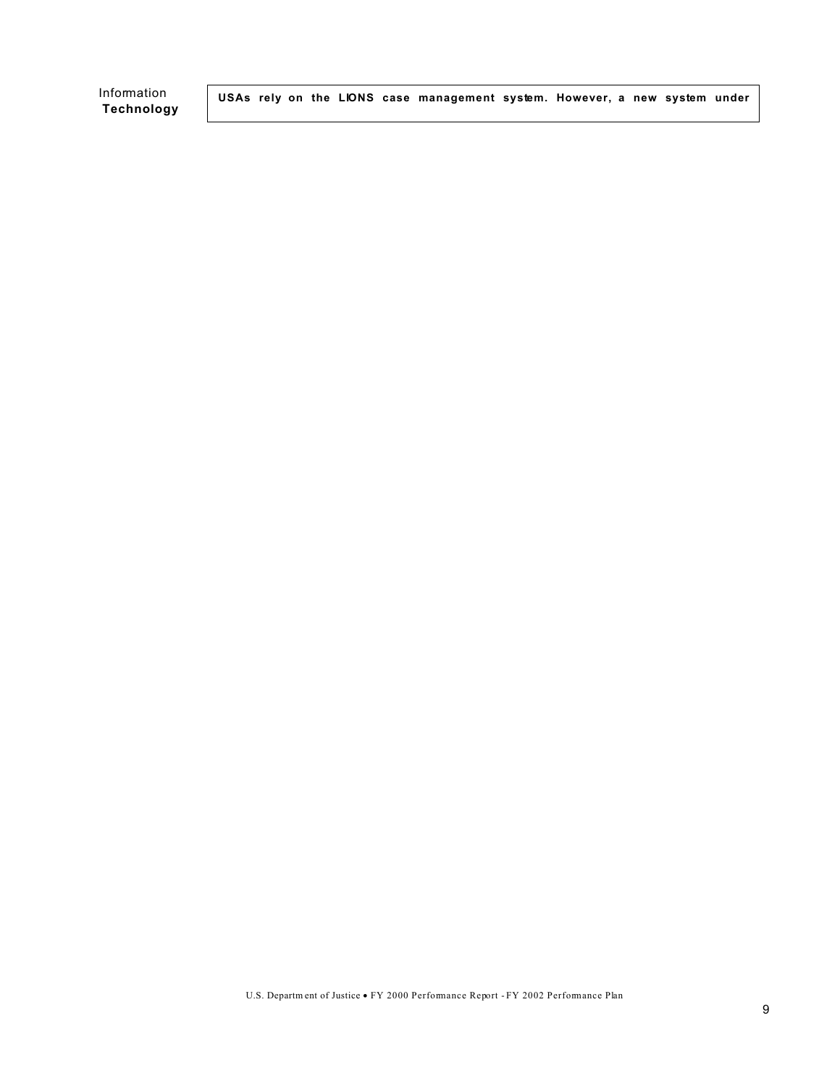**Technology** 

Information **USAs rely on the LIONS case management system. However, a new system under**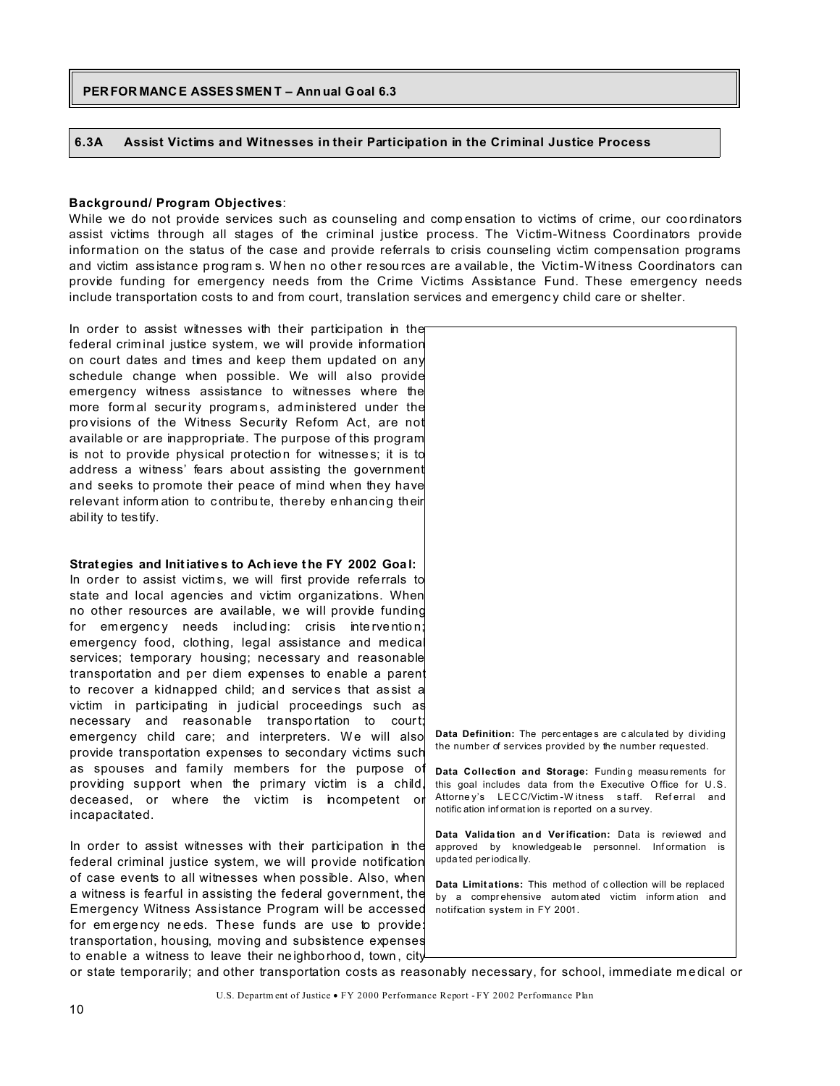#### $6.3A$ Assist Victims and Witnesses in their Participation in the Criminal Justice Process

#### **Background/ Program Objectives:**

While we do not provide services such as counseling and compensation to victims of crime, our coordinators assist victims through all stages of the criminal justice process. The Victim-Witness Coordinators provide information on the status of the case and provide referrals to crisis counseling victim compensation programs and victim assistance programs. When no other resources are available, the Victim-Witness Coordinators can provide funding for emergency needs from the Crime Victims Assistance Fund. These emergency needs include transportation costs to and from court, translation services and emergency child care or shelter.

In order to assist witnesses with their participation in the federal criminal justice system, we will provide information on court dates and times and keep them updated on any schedule change when possible. We will also provide emergency witness assistance to witnesses where the more formal security programs, administered under the provisions of the Witness Security Reform Act, are not available or are inappropriate. The purpose of this program is not to provide physical protection for witnesses; it is to address a witness' fears about assisting the government and seeks to promote their peace of mind when they have relevant inform ation to contribute, thereby enhancing their ability to testify.

# Strategies and Initiatives to Achieve the FY 2002 Goal: In order to assist victims, we will first provide referrals to

state and local agencies and victim organizations. When no other resources are available, we will provide funding for emergency needs including: crisis intervention; emergency food, clothing, legal assistance and medical services; temporary housing; necessary and reasonable transportation and per diem expenses to enable a parent to recover a kidnapped child; and services that assist a victim in participating in judicial proceedings such as necessary and reasonable transportation to court; emergency child care; and interpreters. We will also provide transportation expenses to secondary victims such as spouses and family members for the purpose of providing support when the primary victim is a child, deceased, or where the victim is incompetent or incapacitated.

In order to assist witnesses with their participation in the federal criminal justice system, we will provide notification of case events to all witnesses when possible. Also, when a witness is fearful in assisting the federal government, the Emergency Witness Assistance Program will be accessed for emergency needs. These funds are use to provide: transportation, housing, moving and subsistence expenses to enable a witness to leave their neighborhood, town, city



this goal includes data from the Executive Office for U.S. Attorney's LECC/Victim-Witness staff. Referral and notific ation information is reported on a survey.

Data Validation and Verification: Data is reviewed and approved by knowledgeable personnel. Information is upda ted per jodica llv.

Data Limitations: This method of collection will be replaced by a comprehensive automated victim information and notification system in FY 2001.

or state temporarily; and other transportation costs as reasonably necessary, for school, immediate medical or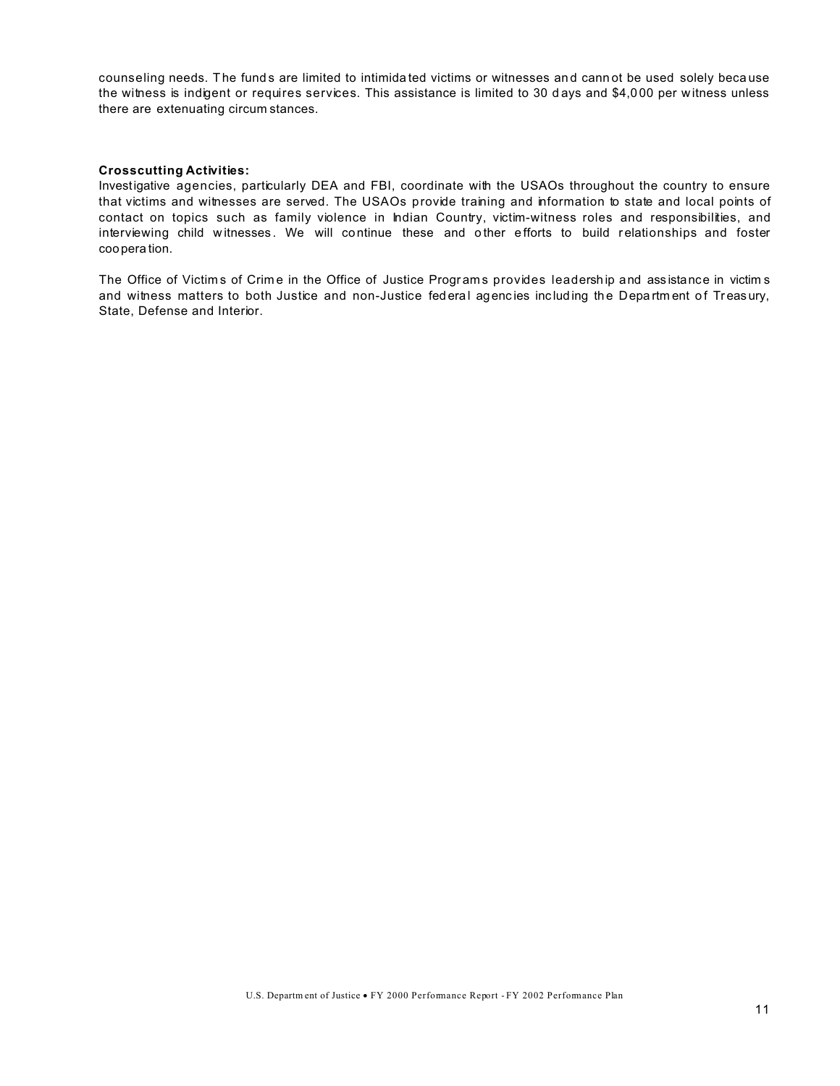counseling needs. The funds are limited to intimidated victims or witnesses and cannot be used solely because the witness is indigent or requires services. This assistance is limited to 30 days and \$4,000 per witness unless there are extenuating circum stances.

#### **Crosscutting Activities:**

Investigative agencies, particularly DEA and FBI, coordinate with the USAOs throughout the country to ensure that victims and witnesses are served. The USAOs provide training and information to state and local points of contact on topics such as family violence in Indian Country, victim-witness roles and responsibilities, and interviewing child witnesses. We will continue these and other efforts to build relationships and foster coopera tion.

The Office of Victims of Crime in the Office of Justice Programs provides leadership and assistance in victims and witness matters to both Justice and non-Justice fed eral agencies including the Department of Treasury, State, Defense and Interior.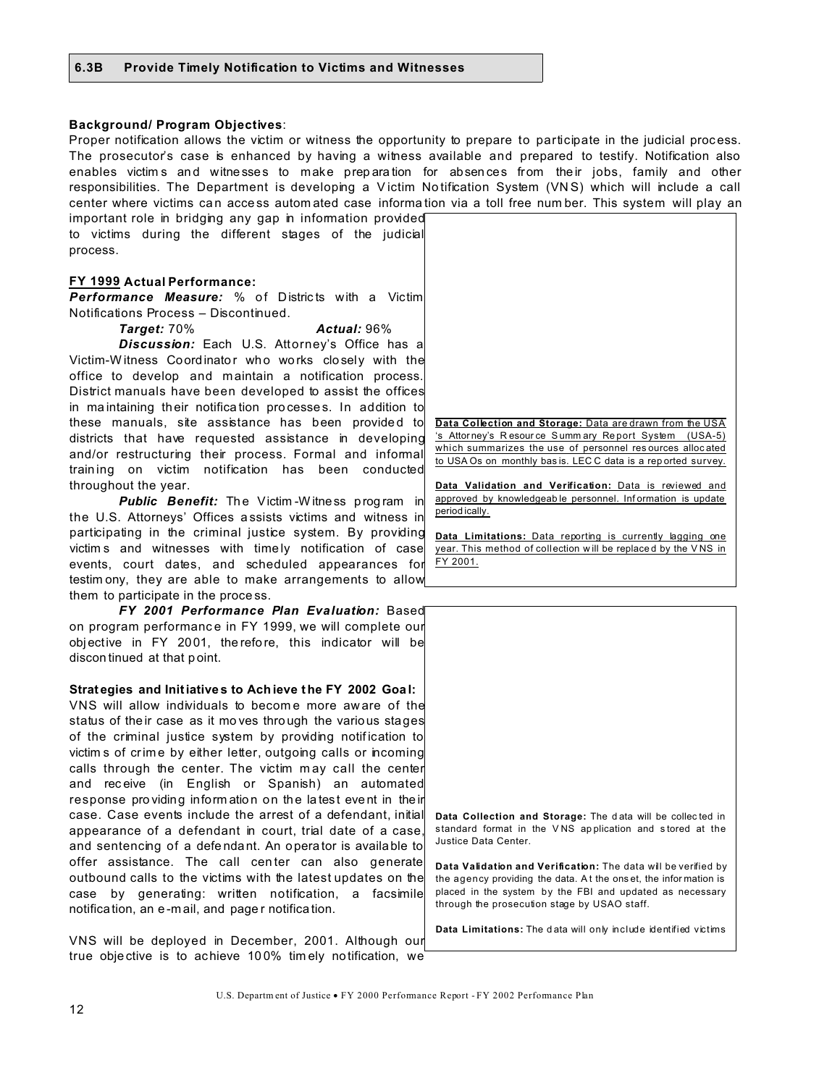#### **Background/ Program Objectives:**

Proper notification allows the victim or witness the opportunity to prepare to participate in the judicial process. The prosecutor's case is enhanced by having a witness available and prepared to testify. Notification also enables victims and witnesses to make preparation for absences from their jobs, family and other responsibilities. The Department is developing a Victim Notification System (VNS) which will include a call center where victims can access automated case information via a toll free number. This system will play an

important role in bridging any gap in information provided to victims during the different stages of the judicial process.

#### FY 1999 Actual Performance:

**Performance Measure:** % of Districts with a Victim Notifications Process - Discontinued.

> Target: 70% Actual: 96%

Discussion: Each U.S. Attorney's Office has a Victim-Witness Coordinator who works closely with the office to develop and maintain a notification process. District manuals have been developed to assist the offices in maintaining their notification processes. In addition to these manuals, site assistance has been provided to districts that have requested assistance in developing and/or restructuring their process. Formal and informal training on victim notification has been conducted throughout the year.

**Public Benefit:** The Victim-Witness program in the U.S. Attorneys' Offices assists victims and witness in participating in the criminal justice system. By providing victims and witnesses with timely notification of case events, court dates, and scheduled appearances for testim ony, they are able to make arrangements to allow them to participate in the process.

FY 2001 Performance Plan Evaluation: Based on program performance in FY 1999, we will complete our objective in FY 2001, therefore, this indicator will be discontinued at that point.

#### Strategies and Initiatives to Achieve the FY 2002 Goal:

VNS will allow individuals to become more aware of the status of their case as it moves through the various stages of the criminal justice system by providing notification to victim s of crime by either letter, outgoing calls or incoming calls through the center. The victim may call the center and receive (in English or Spanish) an automated response providing information on the latest event in their case. Case events include the arrest of a defendant, initial appearance of a defendant in court, trial date of a case, and sentencing of a defendant. An operator is available to offer assistance. The call center can also generate outbound calls to the victims with the latest updates on the case by generating: written notification, a facsimile notification, an e-mail, and pager notification.

VNS will be deployed in December, 2001. Although our true objective is to achieve 100% timely notification, we



Data Validation and Verification: Data is reviewed and approved by knowledgeable personnel. Information is update period ically.

Data Limitations: Data reporting is currently lagging one year. This method of collection will be replaced by the VNS in FY 2001.

Data Collection and Storage: The data will be collected in standard format in the VNS application and stored at the Justice Data Center.

Data Validation and Verification: The data will be verified by the agency providing the data. At the onset, the information is placed in the system by the FBI and updated as necessary through the prosecution stage by USAO staff.

Data Limitations: The data will only include identified victims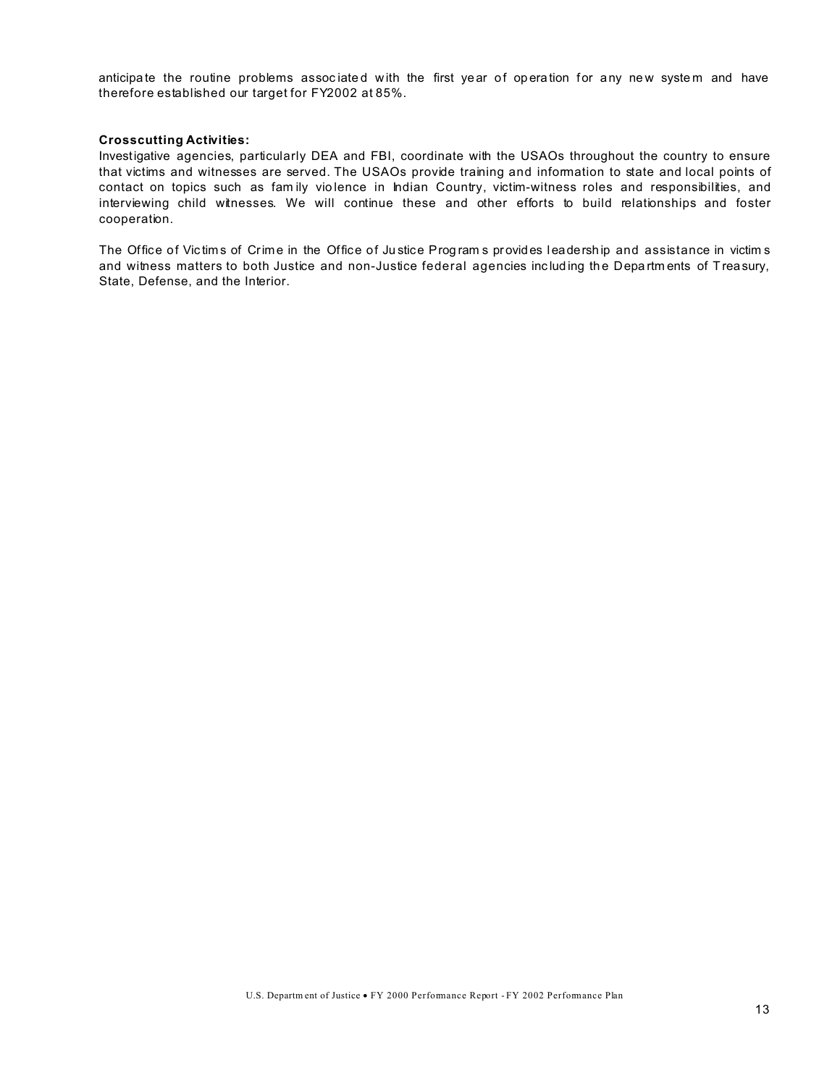anticipate the routine problems associated with the first year of operation for any new system and have therefore established our target for FY2002 at 85%.

#### **Crosscutting Activities:**

Investigative agencies, particularly DEA and FBI, coordinate with the USAOs throughout the country to ensure that victims and witnesses are served. The USAOs provide training and information to state and local points of contact on topics such as fam ily vio lence in Indian Country, victim-witness roles and responsibilities, and interviewing child witnesses. We will continue these and other efforts to build relationships and foster cooperation.

The Office of Victims of Crime in the Office of Justice Programs provides leadership and assistance in victims and witness matters to both Justice and non-Justice federal agencies including the Departments of Treasury, State, Defense, and the Interior.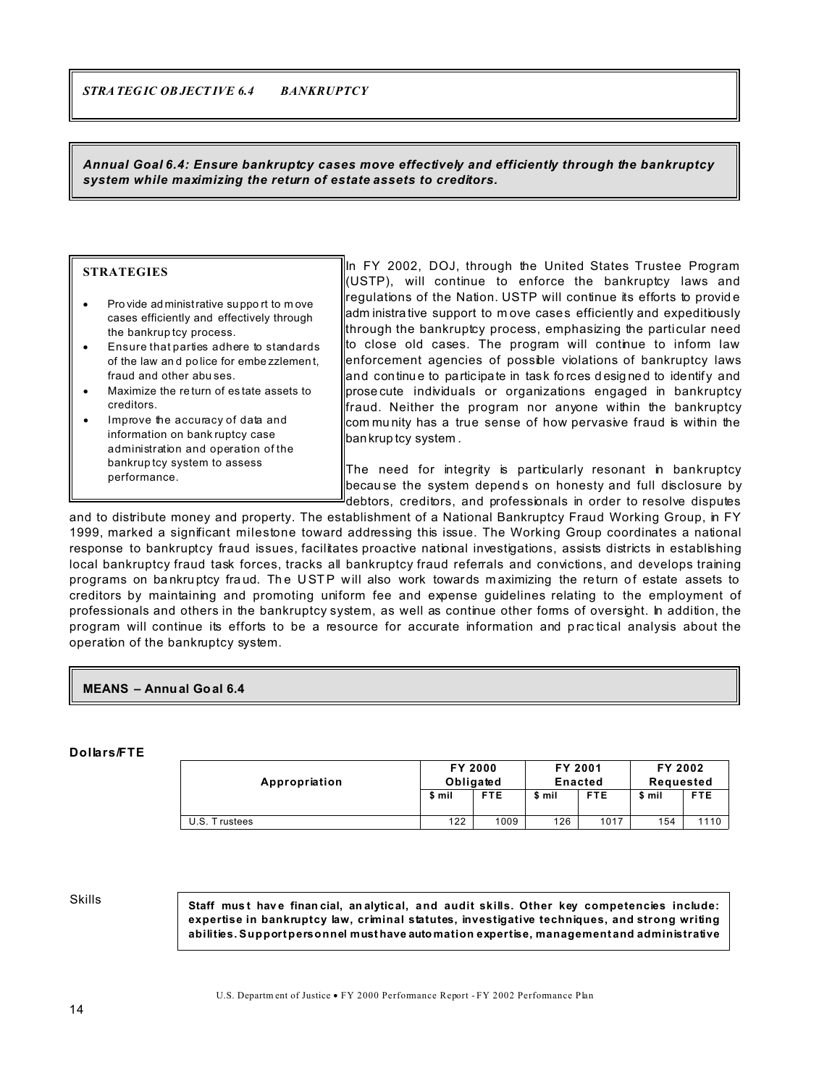*Annual Goal 6.4: Ensure bankruptcy cases move effectively and efficiently through the bankruptcy system while maximizing the return of estate assets to creditors.*

#### **STRATEGIES**

Pro vide ad ministrative su ppo rt to m ove cases efficiently and effectively through the bankrup tcy process. Ensure that parties adhere to standards of the law an d po lice for embe zzlemen t, fraud and other abu ses. Maximize the re turn of es tate assets to creditors. Improve the accuracy of data and information on bank ruptcy case administration and operation of the

bankrup tcy system to assess

performance.

In FY 2002, DOJ, through the United States Trustee Program (USTP), will continue to enforce the bankruptcy laws and regulations of the Nation. USTP will continue its efforts to provid e adm inistra tive support to m ove cases efficiently and expeditiously through the bankruptcy process, emphasizing the particular need to close old cases. The program will continue to inform law enforcement agencies of possible violations of bankruptcy laws and continue to participate in task forces designed to identify and prose cute individuals or organizations engaged in bankruptcy fraud. Neither the program nor anyone within the bankruptcy com mu nity has a true sense of how pervasive fraud is within the bankrup tcy system .

The need for integrity is particularly resonant in bankruptcy because the system depends on honesty and full disclosure by debtors, creditors, and professionals in order to resolve disputes

and to distribute money and property. The establishment of a National Bankruptcy Fraud Working Group, in FY 1999, marked a significant milestone toward addressing this issue. The Working Group coordinates a national response to bankruptcy fraud issues, facilitates proactive national investigations, assists districts in establishing local bankruptcy fraud task forces, tracks all bankruptcy fraud referrals and convictions, and develops training programs on bankruptcy fraud. The USTP will also work towards maximizing the return of estate assets to creditors by maintaining and promoting uniform fee and expense guidelines relating to the employment of professionals and others in the bankruptcy system, as well as continue other forms of oversight. In addition, the program will continue its efforts to be a resource for accurate information and practical analysis about the operation of the bankruptcy system.

#### **MEANS – Annual Goal 6.4**

#### **Dollars/FTE**

| Appropriation                  | <b>FY 2000</b><br>Obligated |            | FY 2001<br>Enacted |            | FY 2002<br>Requested |            |
|--------------------------------|-----------------------------|------------|--------------------|------------|----------------------|------------|
|                                | \$ mil                      | <b>FTE</b> | \$ mil             | <b>FTE</b> | \$ mil               | <b>FTE</b> |
| U.S. T<br>rustees <sup>.</sup> | 122                         | 1009       | 126                | 1017       | 154                  | 1110       |

Skills

**Staff mus t hav e finan cial, an alytical, and audit skills. Other key competencies include: expertise in bankruptcy law, criminal statutes, investigative techniques, and strong writing abilities. Support personnel must have automation expertise, management and administrative**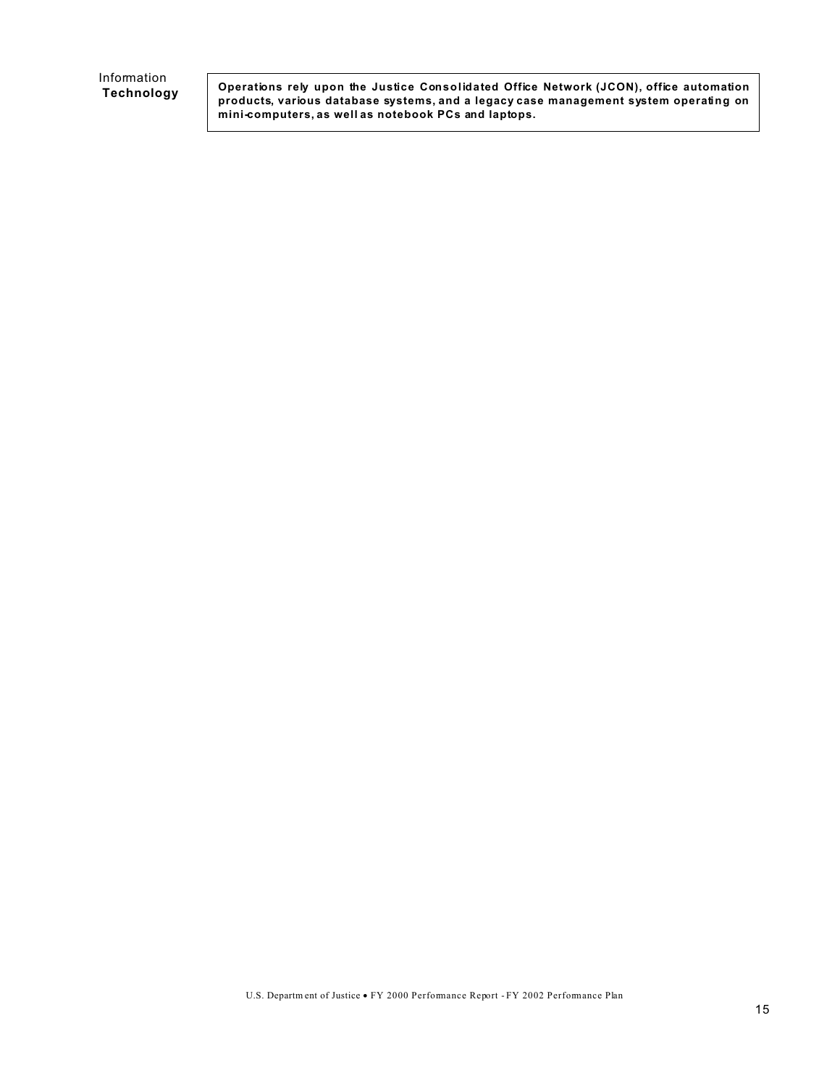Information  **Technology** 

**Operations rely upon the Justice Consolidated Office Network (JCON), office automation products, various database systems, and a legacy case management system operating on mini-computers, as well as notebook PCs and laptops.**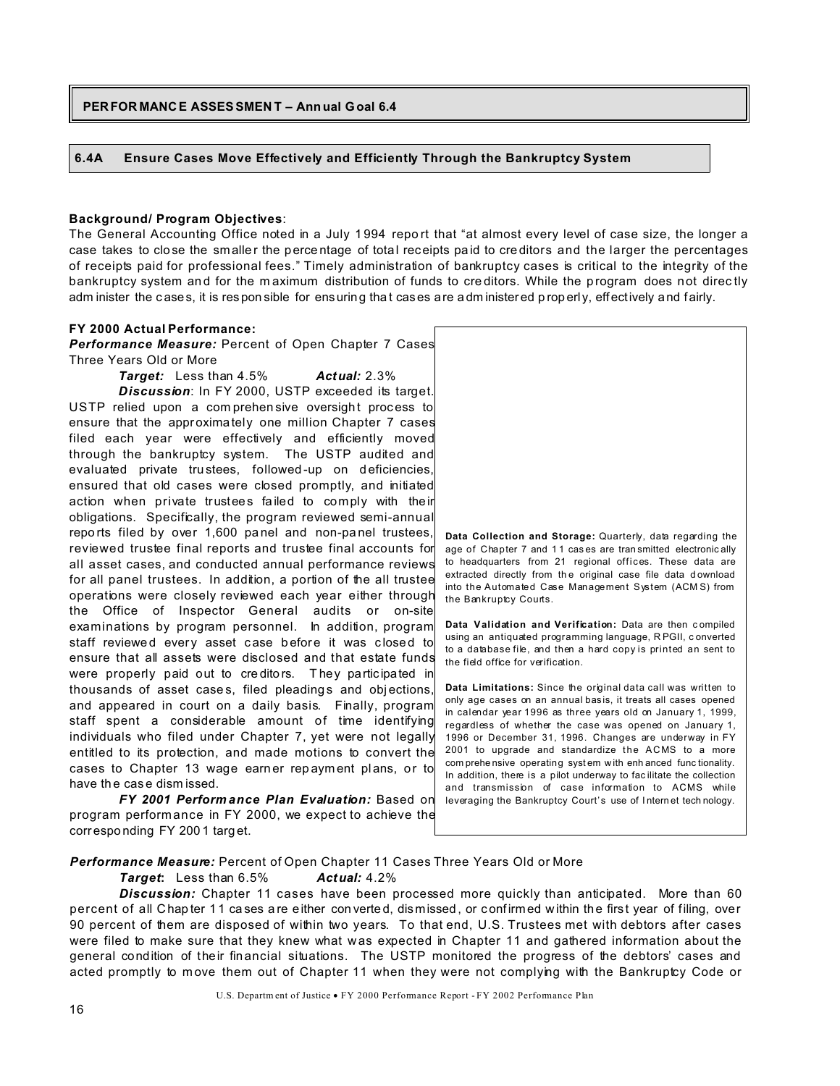### **PERFOR MANCE ASSESSMEN T – Ann ual Goal 6.4**

#### **6.4A Ensure Cases Move Effectively and Efficiently Through the Bankruptcy System**

#### **Background/ Program Objectives**:

The General Accounting Office noted in a July 1994 report that "at almost every level of case size, the longer a case takes to close the smaller the percentage of total receipts paid to creditors and the larger the percentages of receipts paid for professional fees." Timely administration of bankruptcy cases is critical to the integrity of the bankruptcy system and for the maximum distribution of funds to creditors. While the program does not directly adm inister the c ases, it is res pon sible for ensuring tha t cas es are adm inister ed p rop erl y, effectively and fairly.

#### **FY 2000 Actual Performance:**

*Performance Measure:* Percent of Open Chapter 7 Cases Three Years Old or More

*Target:* Less than 4.5% *Actual:* 2.3% *Discussion*: In FY 2000, USTP exceeded its target. USTP relied upon a comprehen sive oversight process to ensure that the approximately one million Chapter 7 cases filed each year were effectively and efficiently moved through the bankruptcy system. The USTP audited and evaluated private trustees, followed-up on deficiencies, ensured that old cases were closed promptly, and initiated action when private trustees fa iled to comply with their obligations. Specifically, the program reviewed semi-annual repo rts filed by over 1,600 pa nel and non-pa nel trustees, reviewed trustee final reports and trustee final accounts for all asset cases, and conducted annual performance reviews for all panel trustees. In addition, a portion of the all trustee operations were closely reviewed each year either through the Office of Inspector General audits or on-site examinations by program personnel. In addition, program staff reviewed every asset case before it was closed to ensure that all assets were disclosed and that estate funds were properly paid out to creditors. They participated in thousands of asset cases, filed pleadings and objections, and appeared in court on a daily basis. Finally, program staff spent a considerable amount of time identifying individuals who filed under Chapter 7, yet were not legally entitled to its protection, and made motions to convert the cases to Chapter 13 wage earner rep ayment plans, or to have th e cas e dism issed.

*FY 2001 Perform ance Plan Evaluation:* Based on program performance in FY 2000, we expect to achieve the correspo nding FY 200 1 targ et.



**Data Limitations:** Since the original data call was written to only age cases on an annual basis, it treats all cases opened in calendar year 1996 as three years old on January 1, 1999, regardless of whether the case was opened on January 1, 1996 or December 31, 1996. Changes are underway in FY 2001 to upgrade and standardize the ACMS to a more com prehe nsive operating syst em w ith enh anced func tionality. In addition, there is a pilot underway to fac ilitate the collection and transmission of case information to ACMS while leveraging the Bankruptcy Court's use of I ntern et tech nology.

*Performance Measure:* Percent of Open Chapter 11 Cases Three Years Old or More

#### *Target***:** Less than 6.5% *Actual:* 4.2%

**Discussion:** Chapter 11 cases have been processed more quickly than anticipated. More than 60 percent of all Chapter 11 ca ses a re either con verted, dismissed, or confirmed within the first year of filing, over 90 percent of them are disposed of within two years. To that end, U.S. Trustees met with debtors after cases were filed to make sure that they knew what was expected in Chapter 11 and gathered information about the general condition of their fin ancial situations. The USTP monitored the progress of the debtors' cases and acted promptly to move them out of Chapter 11 when they were not complying with the Bankruptcy Code or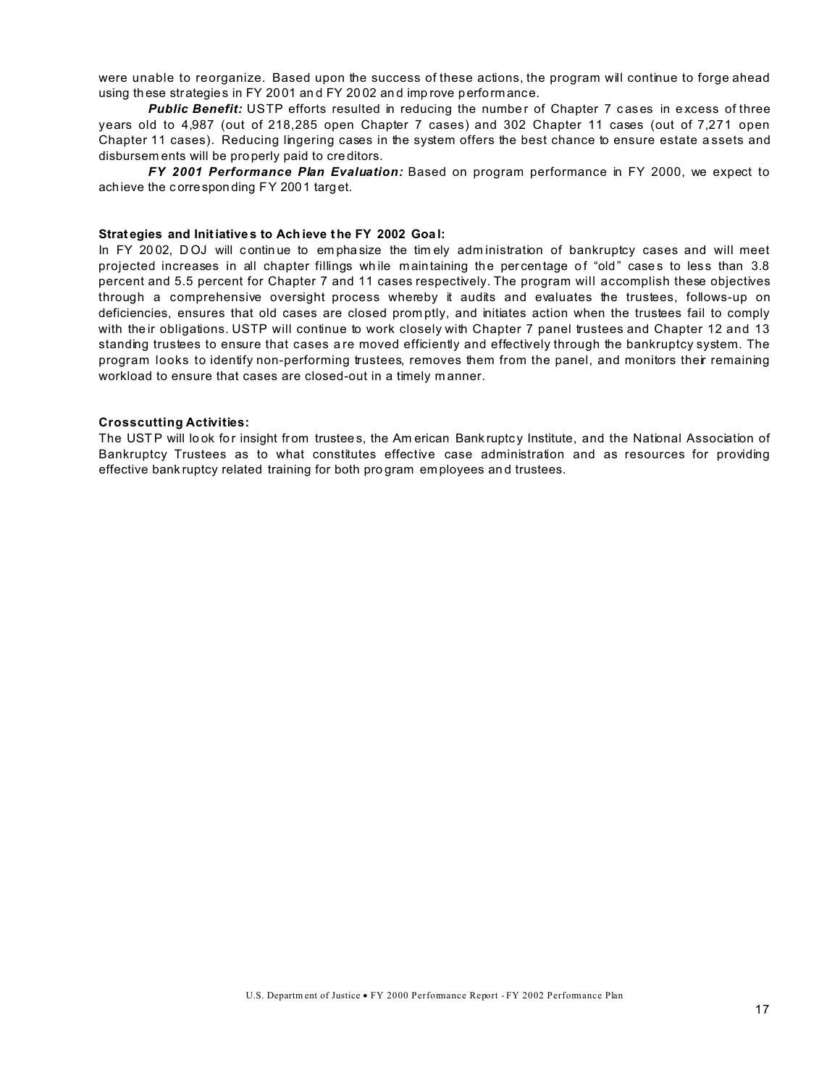were unable to reorganize. Based upon the success of these actions, the program will continue to forge ahead using th ese strategies in FY 20 01 an d FY 20 02 an d imp rove perform ance.

**Public Benefit:** USTP efforts resulted in reducing the number of Chapter 7 cases in excess of three years old to 4,987 (out of 218,285 open Chapter 7 cases) and 302 Chapter 11 cases (out of 7,271 open Chapter 11 cases). Reducing lingering cases in the system offers the best chance to ensure estate a ssets and disbursem ents will be pro perly paid to cre ditors.

*FY 2001 Performance Plan Evaluation:* Based on program performance in FY 2000, we expect to achieve the c orrespon ding FY 2001 targ et.

#### **Strat egies and Initiative s to Ach ieve the FY 2002 Goa l:**

In FY 2002, DOJ will continue to emphasize the timely administration of bankruptcy cases and will meet projected increases in all chapter fillings while maintaining the percentage of "old" cases to less than 3.8 percent and 5.5 percent for Chapter 7 and 11 cases respectively. The program will accomplish these objectives through a comprehensive oversight process whereby it audits and evaluates the trustees, follows-up on deficiencies, ensures that old cases are closed prom ptly, and initiates action when the trustees fail to comply with their obligations. USTP will continue to work closely with Chapter 7 panel trustees and Chapter 12 and 13 standing trustees to ensure that cases are moved efficiently and effectively through the bankruptcy system. The program looks to identify non-performing trustees, removes them from the panel, and monitors their remaining workload to ensure that cases are closed-out in a timely m anner.

#### **Crosscutting Activities:**

The USTP will look for insight from trustees, the Am erican Bank ruptcy Institute, and the National Association of Bankruptcy Trustees as to what constitutes effective case administration and as resources for providing effective bank ruptcy related training for both pro gram em ployees an d trustees.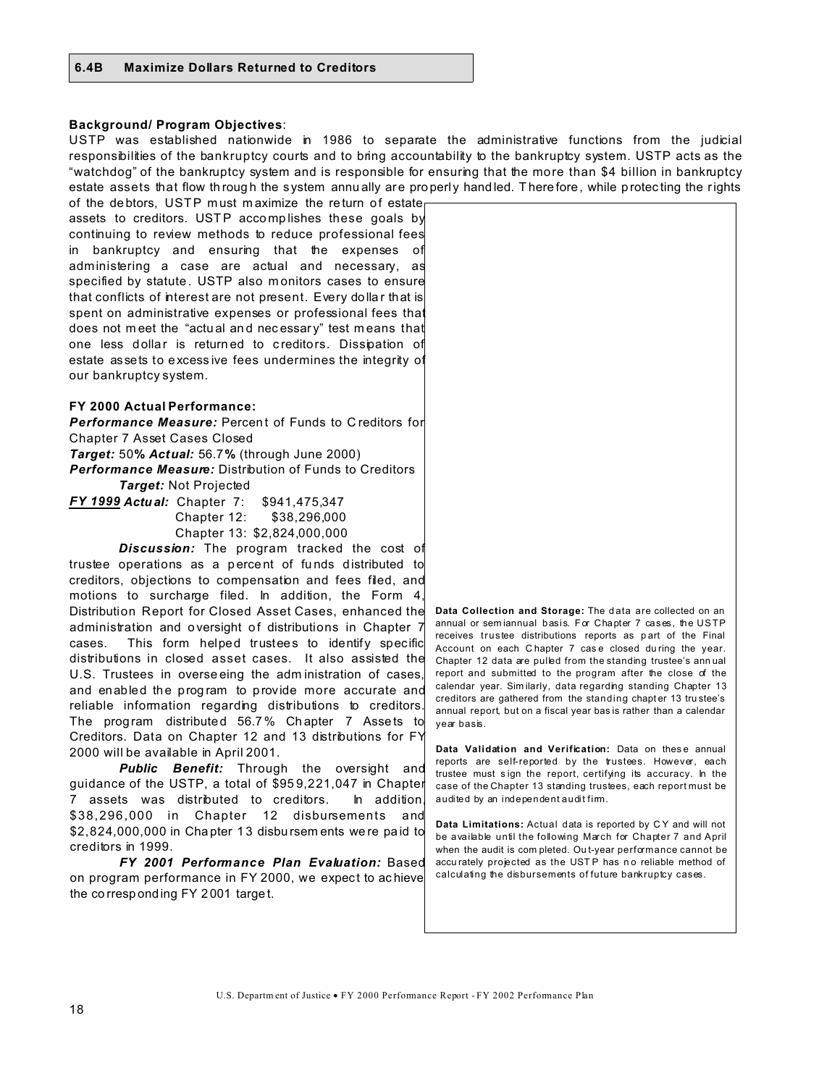# **Background/ Program Objectives**:

USTP was established nationwide in 1986 to separate the administrative functions from the judicial responsibilities of the bankruptcy courts and to bring accountability to the bankruptcy system. USTP acts as the "watchdog" of the bankruptcy system and is responsible for ensuring that the more than \$4 billion in bankruptcy estate assets that flow th rough the system annually are properly handled. There fore, while protecting the rights

of the debtors, USTP must maximize the return of estate assets to creditors. USTP accomplishes these goals by continuing to review methods to reduce professional fees in bankruptcy and ensuring that the expenses of administering a case are actual and necessary, as specified by statute. USTP also monitors cases to ensure that conflicts of interest are not present. Every dolla r that is spent on administrative expenses or professional fees that does not meet the "actual and necessary" test means that one less dollar is returned to creditors. Dissipation of estate assets to excess ive fees undermines the integrity of our bankruptcy system.

# **FY 2000 Actual Performance:**

**Performance Measure:** Percent of Funds to C reditors for Chapter 7 Asset Cases Closed

*Target:* 50**%** *Actual:* 56.7**%** (through June 2000)

*Performance Measure:* Distribution of Funds to Creditors *Target:* Not Projected

*FY 1999 Actual:* Chapter 7: \$941,475,347 Chapter 12: \$38,296,000 Chapter 13: \$2,824,000,000

*Discussion:* The program tracked the cost of trustee operations as a p erce nt of fu nds d istributed to creditors, objections to compensation and fees filed, and motions to surcharge filed. In addition, the Form 4, Distribution Report for Closed Asset Cases, enhanced the administration and oversight of distributions in Chapter 7 cases. This form helped trustees to identify specific distributions in closed asset cases. It also assisted the U.S. Trustees in overse eing the adm inistration of cases, and enabled the prog ram to provide more accurate and reliable information regarding distributions to creditors. The program distributed 56.7% Chapter 7 Assets to Creditors. Data on Chapter 12 and 13 distributions for FY 2000 will be available in April 2001.

*Public Benefit:* Through the oversight and guidance of the USTP, a total of \$95 9,221,047 in Chapter 7 assets was distributed to creditors. In addition, \$38,296,000 in Chapter 12 disbursements and \$2,824,000,000 in Cha pter 1 3 disbu rsem ents we re pa id to creditors in 1999.

*FY 2001 Performance Plan Evaluation:* Based on program performance in FY 2000, we expect to achieve the co rresp onding FY 2001 targe t.

Data Collection and Storage: The data are collected on an annual or sem iannual basis. For Chapter 7 cases, the USTP receives trustee distributions reports as p art of the Final Account on each C hapter 7 cas e closed du ring the year. Chapter 12 data are pulled from the standing trustee's ann ual report and submitted to the program after the close of the calendar year. Sim ilarly, data regarding standing Chapter 13 creditors are gathered from the standing chapter 13 trustee's annual report, but on a fiscal year bas is rather than a calendar year basis.

Data Validation and Verification: Data on these annual reports are self-reported by the trustees. However, each trustee must s ign the report, certifying its accuracy. In the case of the Chapter 13 standing trustees, each report must be audited by an independent audit firm.

**Data Limitations:** Actual data is reported by C Y and will not be available until the following March for Chapter 7 and April when the audit is com pleted. Ou t-year performance cannot be accu rately projected as the USTP has no reliable method of calculating the disbursements of future bankruptcy cases.